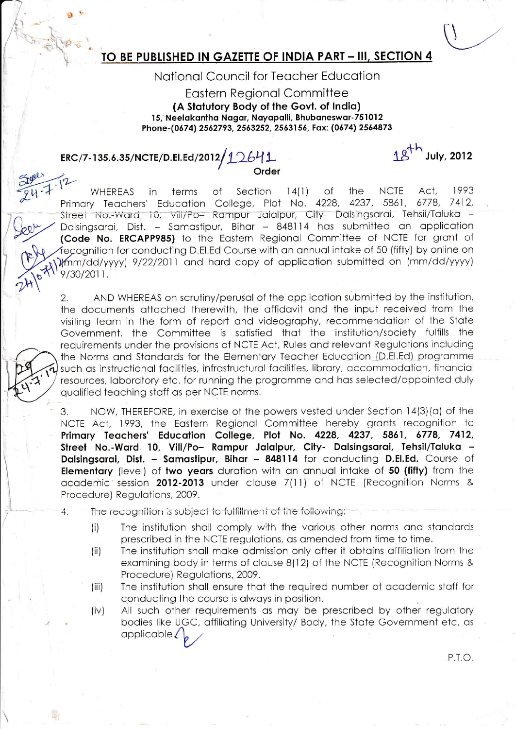# TO BE PUBLISHED IN GAZETTE OF INDIA PART - III, SECTION 4

## National Council for Teacher Education

#### **Eastern Regional Committee** (A Statutory Body of the Govt. of India) 15, Neelakantha Nagar, Nayapalli, Bhubaneswar-751012 Phone-(0674) 2562793, 2563252, 2563156, Fax: (0674) 2564873

Order

# ERC/7-135.6.35/NCTE/D.El.Ed/2012/10641

1 g<sup>th</sup> July, 2012

 $14(1)$ **NCTE** Act. 1993 **WHEREAS** in terms  $\circ$ f Section of the Education College, Plot No. 4228, 4237, 5861, 6778, 7412. Primary Teachers' Street No.-Ward 10, Vill/Po- Rampur Jalalpur, City- Dalsingsaral, Tehsil/Taluka -Dalsingsarai, Dist. - Samastipur, Bihar - 848114 has submitted an application (Code No. ERCAPP985) to the Eastern Regional Committee of NCTE for grant of fecognition for conducting D.El.Ed Course with an annual intake of 50 (fifty) by online on Vmm/dd/yyyy) 9/22/2011 and hard copy of application submitted on (mm/dd/yyyy) 9/30/2011.

AND WHEREAS on scrutiny/perusal of the application submitted by the institution,  $2.$ the documents attached therewith, the affidavit and the input received from the visiting team in the form of report and videography, recommendation of the State Government, the Committee is satisfied that the institution/society fulfills the requirements under the provisions of NCTE Act, Rules and relevant Regulations including the Norms and Standards for the Elementary Teacher Education (D.El.Ed) programme such as instructional facilities, infrastructural facilities, library, accommodation, financial resources, laboratory etc. for running the programme and has selected/appointed duly qualified teaching staff as per NCTE norms.

NOW, THEREFORE, in exercise of the powers vested under Section 14(3)(a) of the 3. NCTE Act, 1993, the Eastern Regional Committee hereby grants recognition to Primary Teachers' Education College, Plot No. 4228, 4237, 5861, 6778, 7412, Street No.-Ward 10, Vill/Po- Rampur Jalalpur, City- Dalsingsarai, Tehsil/Taluka -Dalsingsarai, Dist. - Samastipur, Bihar - 848114 for conducting D.El.Ed. Course of Elementary (level) of two years duration with an annual intake of 50 (fifty) from the academic session 2012-2013 under clause 7(11) of NCTE (Recognition Norms & Procedure) Regulations, 2009.

- The recognition is subject to fulfillment of the following:  $\overline{4}$ .
	- The institution shall comply with the various other norms and standards  $(i)$ prescribed in the NCTE regulations, as amended from time to time.
	- The institution shall make admission only after it obtains affiliation from the  $(ii)$ examining body in terms of clause 8(12) of the NCTE (Recognition Norms & Procedure) Regulations, 2009.
	- The institution shall ensure that the required number of academic staff for  $(iii)$ conducting the course is always in position.
	- $(iv)$ All such other requirements as may be prescribed by other regulatory bodies like UGC, affiliating University/ Body, the State Government etc, as applicable.